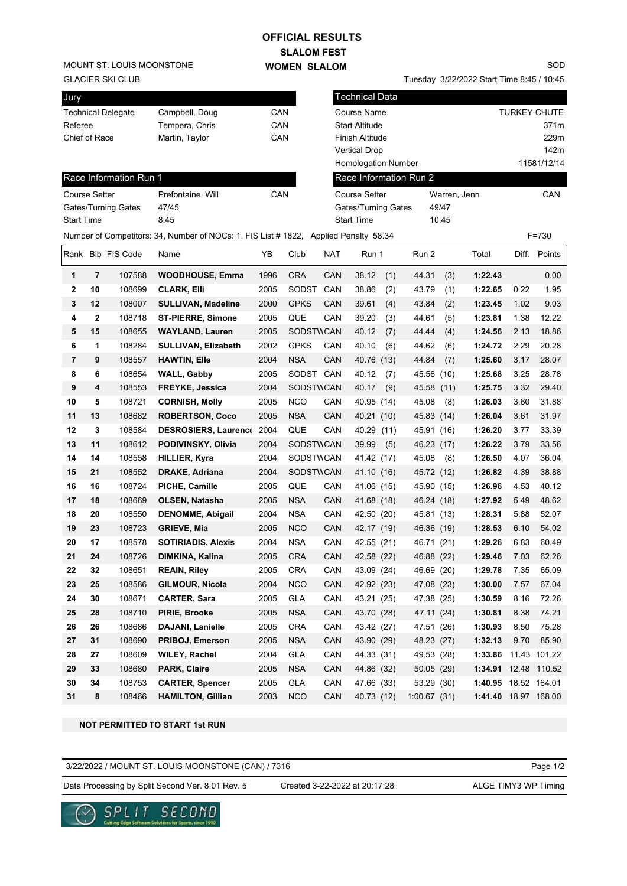GLACIER SKI CLUB MOUNT ST. LOUIS MOONSTONE

## **SLALOM FEST WOMEN SLALOM OFFICIAL RESULTS**

Tuesday 3/22/2022 Start Time 8:45 / 10:45

SOD

| Jury                      |                     |                        |                                                                                     |      |                  |                                      | <b>Technical Data</b>  |                        |       |                      |       |              |  |
|---------------------------|---------------------|------------------------|-------------------------------------------------------------------------------------|------|------------------|--------------------------------------|------------------------|------------------------|-------|----------------------|-------|--------------|--|
| <b>Technical Delegate</b> |                     |                        | Campbell, Doug                                                                      | CAN  |                  | Course Name                          |                        |                        |       | <b>TURKEY CHUTE</b>  |       |              |  |
| Referee                   |                     |                        | Tempera, Chris                                                                      | CAN  |                  | <b>Start Altitude</b>                |                        |                        | 371m  |                      |       |              |  |
| Chief of Race             |                     |                        | Martin, Taylor                                                                      | CAN  |                  |                                      | <b>Finish Altitude</b> |                        |       | 229m                 |       |              |  |
|                           |                     |                        |                                                                                     |      |                  |                                      | <b>Vertical Drop</b>   |                        |       |                      |       | 142m         |  |
|                           |                     |                        |                                                                                     |      |                  |                                      | Homologation Number    |                        |       |                      |       | 11581/12/14  |  |
|                           |                     | Race Information Run 1 |                                                                                     |      |                  |                                      |                        | Race Information Run 2 |       |                      |       |              |  |
| <b>Course Setter</b>      |                     |                        | Prefontaine, Will                                                                   | CAN  |                  | <b>Course Setter</b><br>Warren, Jenn |                        |                        |       | CAN                  |       |              |  |
|                           | Gates/Turning Gates |                        | 47/45                                                                               |      |                  | Gates/Turning Gates                  |                        |                        | 49/47 |                      |       |              |  |
| <b>Start Time</b>         |                     |                        | 8:45                                                                                |      |                  |                                      | <b>Start Time</b>      |                        | 10:45 |                      |       |              |  |
|                           |                     |                        | Number of Competitors: 34, Number of NOCs: 1, FIS List #1822, Applied Penalty 58.34 |      |                  |                                      |                        |                        |       |                      | F=730 |              |  |
|                           |                     | Rank Bib FIS Code      | Name                                                                                | YB   | Club             | <b>NAT</b>                           | Run 1                  | Run 2                  |       | Total                |       | Diff. Points |  |
| 1                         | $\overline{7}$      | 107588                 | <b>WOODHOUSE, Emma</b>                                                              | 1996 | <b>CRA</b>       | CAN                                  | 38.12                  | (1)<br>44.31           | (3)   | 1:22.43              |       | 0.00         |  |
| 2                         | 10                  | 108699                 | <b>CLARK, Elli</b>                                                                  | 2005 | SODST            | CAN                                  | 38.86                  | (2)<br>43.79           | (1)   | 1:22.65              | 0.22  | 1.95         |  |
| 3                         | 12                  | 108007                 | <b>SULLIVAN, Madeline</b>                                                           | 2000 | <b>GPKS</b>      | CAN                                  | 39.61                  | (4)<br>43.84           | (2)   | 1:23.45              | 1.02  | 9.03         |  |
| 4                         | $\mathbf{2}$        | 108718                 | <b>ST-PIERRE, Simone</b>                                                            | 2005 | QUE              | CAN                                  | 39.20                  | 44.61<br>(3)           | (5)   | 1:23.81              | 1.38  | 12.22        |  |
| 5                         | 15                  | 108655                 | <b>WAYLAND, Lauren</b>                                                              | 2005 | <b>SODSTWCAN</b> |                                      | 40.12                  | (7)<br>44.44           | (4)   | 1:24.56              | 2.13  | 18.86        |  |
| 6                         | 1                   | 108284                 | <b>SULLIVAN, Elizabeth</b>                                                          | 2002 | <b>GPKS</b>      | CAN                                  | 40.10                  | 44.62<br>(6)           | (6)   | 1:24.72              | 2.29  | 20.28        |  |
| 7                         | 9                   | 108557                 | <b>HAWTIN, Elle</b>                                                                 | 2004 | <b>NSA</b>       | CAN                                  | 40.76 (13)             | 44.84                  | (7)   | 1:25.60              | 3.17  | 28.07        |  |
| 8                         | 6                   | 108654                 | <b>WALL, Gabby</b>                                                                  | 2005 | SODST CAN        |                                      | 40.12                  | 45.56<br>(7)           | (10)  | 1:25.68              | 3.25  | 28.78        |  |
| 9                         | 4                   | 108553                 | FREYKE, Jessica                                                                     | 2004 | <b>SODSTWCAN</b> |                                      | 40.17                  | (9)<br>45.58           | (11)  | 1:25.75              | 3.32  | 29.40        |  |
| 10                        | 5                   | 108721                 | <b>CORNISH, Molly</b>                                                               | 2005 | <b>NCO</b>       | CAN                                  | 40.95 (14)             | 45.08                  | (8)   | 1:26.03              | 3.60  | 31.88        |  |
| 11                        | 13                  | 108682                 | <b>ROBERTSON, Coco</b>                                                              | 2005 | <b>NSA</b>       | CAN                                  | 40.21 (10)             | 45.83 (14)             |       | 1:26.04              | 3.61  | 31.97        |  |
| 12                        | 3                   | 108584                 | DESROSIERS, Laurence 2004                                                           |      | QUE              | CAN                                  | 40.29 (11)             | 45.91 (16)             |       | 1:26.20              | 3.77  | 33.39        |  |
| 13                        | 11                  | 108612                 | PODIVINSKY, Olivia                                                                  | 2004 | SODSTWCAN        |                                      | 39.99                  | (5)<br>46.23 (17)      |       | 1:26.22              | 3.79  | 33.56        |  |
| 14                        | 14                  | 108558                 | <b>HILLIER, Kyra</b>                                                                | 2004 | SODSTWCAN        |                                      | 41.42 (17)             | 45.08                  | (8)   | 1:26.50              | 4.07  | 36.04        |  |
| 15                        | 21                  | 108552                 | <b>DRAKE, Adriana</b>                                                               | 2004 | SODSTWCAN        |                                      | 41.10 (16)             | 45.72 (12)             |       | 1:26.82              | 4.39  | 38.88        |  |
| 16                        | 16                  | 108724                 | PICHE, Camille                                                                      | 2005 | QUE              | CAN                                  | 41.06 (15)             | 45.90 (15)             |       | 1:26.96              | 4.53  | 40.12        |  |
| 17                        | 18                  | 108669                 | OLSEN, Natasha                                                                      | 2005 | <b>NSA</b>       | CAN                                  | 41.68 (18)             | 46.24 (18)             |       | 1:27.92              | 5.49  | 48.62        |  |
| 18                        | 20                  | 108550                 | <b>DENOMME, Abigail</b>                                                             | 2004 | <b>NSA</b>       | CAN                                  | 42.50 (20)             | 45.81 (13)             |       | 1:28.31              | 5.88  | 52.07        |  |
| 19                        | 23                  | 108723                 | <b>GRIEVE, Mia</b>                                                                  | 2005 | <b>NCO</b>       | CAN                                  | 42.17 (19)             | 46.36 (19)             |       | 1:28.53              | 6.10  | 54.02        |  |
| 20                        | 17                  | 108578                 | <b>SOTIRIADIS, Alexis</b>                                                           | 2004 | <b>NSA</b>       | CAN                                  | 42.55 (21)             | 46.71 (21)             |       | 1:29.26              | 6.83  | 60.49        |  |
| 21                        | 24                  | 108726                 | DIMKINA, Kalina                                                                     | 2005 | <b>CRA</b>       | CAN                                  | 42.58 (22)             | 46.88 (22)             |       | 1:29.46              | 7.03  | 62.26        |  |
| 22                        | 32                  | 108651                 | <b>REAIN, Riley</b>                                                                 | 2005 | <b>CRA</b>       | CAN                                  | 43.09 (24)             | 46.69 (20)             |       | 1:29.78              | 7.35  | 65.09        |  |
| 23                        | 25                  | 108586                 | GILMOUR, Nicola                                                                     | 2004 | <b>NCO</b>       | CAN                                  | 42.92 (23)             | 47.08 (23)             |       | 1:30.00              | 7.57  | 67.04        |  |
| 24                        | 30                  | 108671                 | <b>CARTER, Sara</b>                                                                 | 2005 | GLA              | CAN                                  | 43.21 (25)             | 47.38 (25)             |       | 1:30.59              | 8.16  | 72.26        |  |
| 25                        | 28                  | 108710                 | PIRIE, Brooke                                                                       | 2005 | <b>NSA</b>       | CAN                                  | 43.70 (28)             | 47.11 (24)             |       | 1:30.81              | 8.38  | 74.21        |  |
| 26                        | 26                  | 108686                 | DAJANI, Lanielle                                                                    | 2005 | <b>CRA</b>       | CAN                                  | 43.42 (27)             | 47.51 (26)             |       | 1:30.93              | 8.50  | 75.28        |  |
| 27                        | 31                  | 108690                 | PRIBOJ, Emerson                                                                     | 2005 | <b>NSA</b>       | CAN                                  | 43.90 (29)             | 48.23 (27)             |       | 1:32.13              | 9.70  | 85.90        |  |
| 28                        | 27                  | 108609                 | <b>WILEY, Rachel</b>                                                                | 2004 | GLA              | CAN                                  | 44.33 (31)             | 49.53 (28)             |       | 1:33.86              |       | 11.43 101.22 |  |
| 29                        | 33                  | 108680                 | PARK, Claire                                                                        | 2005 | <b>NSA</b>       | CAN                                  | 44.86 (32)             | 50.05 (29)             |       | 1:34.91 12.48 110.52 |       |              |  |
| 30                        | 34                  | 108753                 | <b>CARTER, Spencer</b>                                                              | 2005 | <b>GLA</b>       | CAN                                  | 47.66 (33)             | 53.29 (30)             |       | 1:40.95 18.52 164.01 |       |              |  |
| 31                        | 8                   | 108466                 | <b>HAMILTON, Gillian</b>                                                            | 2003 | <b>NCO</b>       | CAN                                  | 40.73 (12)             | 1:00.67(31)            |       | 1:41.40 18.97 168.00 |       |              |  |

**NOT PERMITTED TO START 1st RUN**

3/22/2022 / MOUNT ST. LOUIS MOONSTONE (CAN) / 7316

Page 1/2

Data Processing by Split Second Ver. 8.01 Rev. 5 Created 3-22-2022 at 20:17:28 ALGE TIMY3 WP Timing

Created 3-22-2022 at 20:17:28